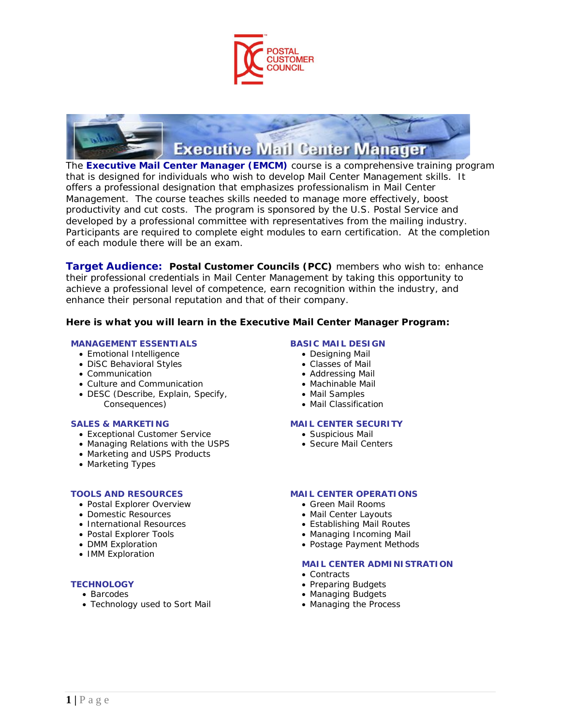



The **Executive Mail Center Manager (EMCM)** course is a comprehensive training program that is designed for individuals who wish to develop Mail Center Management skills. It offers a professional designation that emphasizes professionalism in Mail Center Management. The course teaches skills needed to manage more effectively, boost productivity and cut costs. The program is sponsored by the U.S. Postal Service and developed by a professional committee with representatives from the mailing industry. Participants are required to complete eight modules to earn certification. At the completion of each module there will be an exam.

**Target Audience: Postal Customer Councils (PCC)** members who wish to: enhance their professional credentials in Mail Center Management by taking this opportunity to achieve a professional level of competence, earn recognition within the industry, and enhance their personal reputation and that of their company.

## **Here is what you will learn in the Executive Mail Center Manager Program:**

### **MANAGEMENT ESSENTIALS**

- Emotional Intelligence
- DiSC Behavioral Styles
- Communication
- Culture and Communication
- DESC (Describe, Explain, Specify, Consequences)

### **SALES & MARKETING**

- Exceptional Customer Service
- Managing Relations with the USPS
- Marketing and USPS Products
- Marketing Types

### **TOOLS AND RESOURCES**

- Postal Explorer Overview
- Domestic Resources
- International Resources
- Postal Explorer Tools
- DMM Exploration
- IMM Exploration

# **TECHNOLOGY**

- Barcodes
- Technology used to Sort Mail

### **BASIC MAIL DESIGN**

- Designing Mail
- Classes of Mail
- Addressing Mail
- Machinable Mail
- Mail Samples
- Mail Classification

### **MAIL CENTER SECURITY**

- Suspicious Mail
- Secure Mail Centers

## **MAIL CENTER OPERATIONS**

- Green Mail Rooms
- Mail Center Layouts
- Establishing Mail Routes
- Managing Incoming Mail
- Postage Payment Methods

### **MAIL CENTER ADMINISTRATION**

- Contracts
- Preparing Budgets
- Managing Budgets
- Managing the Process